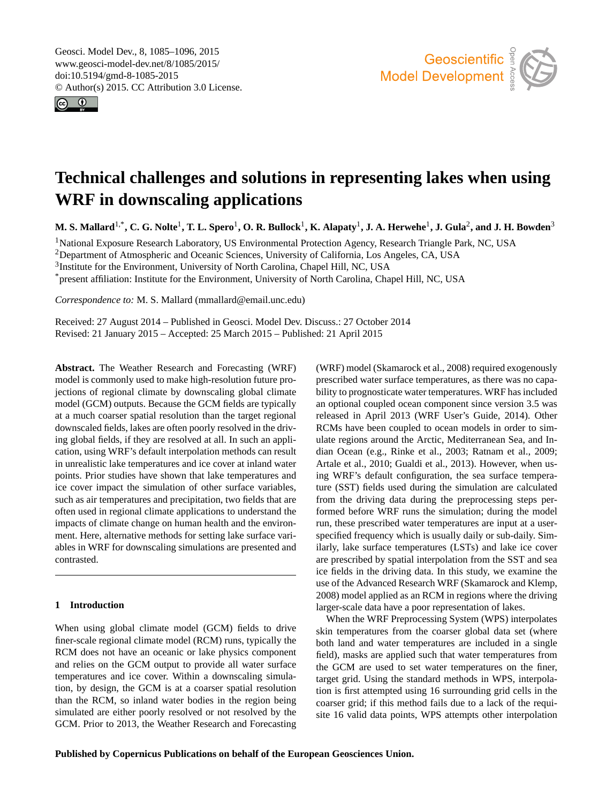<span id="page-0-1"></span>Geosci. Model Dev., 8, 1085–1096, 2015 www.geosci-model-dev.net/8/1085/2015/ doi:10.5194/gmd-8-1085-2015 © Author(s) 2015. CC Attribution 3.0 License.





# **Technical challenges and solutions in representing lakes when using WRF in downscaling applications**

**M. S. Mallard**[1,\\*](#page-0-0) **, C. G. Nolte**[1](#page-0-0) **, T. L. Spero**[1](#page-0-0) **, O. R. Bullock**[1](#page-0-0) **, K. Alapaty**[1](#page-0-0) **, J. A. Herwehe**[1](#page-0-0) **, J. Gula**[2](#page-0-0) **, and J. H. Bowden**[3](#page-0-0)

<sup>1</sup>National Exposure Research Laboratory, US Environmental Protection Agency, Research Triangle Park, NC, USA

<sup>2</sup>Department of Atmospheric and Oceanic Sciences, University of California, Los Angeles, CA, USA

<sup>3</sup>Institute for the Environment, University of North Carolina, Chapel Hill, NC, USA

\*present affiliation: Institute for the Environment, University of North Carolina, Chapel Hill, NC, USA

*Correspondence to:* M. S. Mallard (mmallard@email.unc.edu)

Received: 27 August 2014 – Published in Geosci. Model Dev. Discuss.: 27 October 2014 Revised: 21 January 2015 – Accepted: 25 March 2015 – Published: 21 April 2015

<span id="page-0-0"></span>**Abstract.** The Weather Research and Forecasting (WRF) model is commonly used to make high-resolution future projections of regional climate by downscaling global climate model (GCM) outputs. Because the GCM fields are typically at a much coarser spatial resolution than the target regional downscaled fields, lakes are often poorly resolved in the driving global fields, if they are resolved at all. In such an application, using WRF's default interpolation methods can result in unrealistic lake temperatures and ice cover at inland water points. Prior studies have shown that lake temperatures and ice cover impact the simulation of other surface variables, such as air temperatures and precipitation, two fields that are often used in regional climate applications to understand the impacts of climate change on human health and the environment. Here, alternative methods for setting lake surface variables in WRF for downscaling simulations are presented and contrasted.

## **1 Introduction**

When using global climate model (GCM) fields to drive finer-scale regional climate model (RCM) runs, typically the RCM does not have an oceanic or lake physics component and relies on the GCM output to provide all water surface temperatures and ice cover. Within a downscaling simulation, by design, the GCM is at a coarser spatial resolution than the RCM, so inland water bodies in the region being simulated are either poorly resolved or not resolved by the GCM. Prior to 2013, the Weather Research and Forecasting

(WRF) model (Skamarock et al., 2008) required exogenously prescribed water surface temperatures, as there was no capability to prognosticate water temperatures. WRF has included an optional coupled ocean component since version 3.5 was released in April 2013 (WRF User's Guide, 2014). Other RCMs have been coupled to ocean models in order to simulate regions around the Arctic, Mediterranean Sea, and Indian Ocean (e.g., Rinke et al., 2003; Ratnam et al., 2009; Artale et al., 2010; Gualdi et al., 2013). However, when using WRF's default configuration, the sea surface temperature (SST) fields used during the simulation are calculated from the driving data during the preprocessing steps performed before WRF runs the simulation; during the model run, these prescribed water temperatures are input at a userspecified frequency which is usually daily or sub-daily. Similarly, lake surface temperatures (LSTs) and lake ice cover are prescribed by spatial interpolation from the SST and sea ice fields in the driving data. In this study, we examine the use of the Advanced Research WRF (Skamarock and Klemp, 2008) model applied as an RCM in regions where the driving larger-scale data have a poor representation of lakes.

When the WRF Preprocessing System (WPS) interpolates skin temperatures from the coarser global data set (where both land and water temperatures are included in a single field), masks are applied such that water temperatures from the GCM are used to set water temperatures on the finer, target grid. Using the standard methods in WPS, interpolation is first attempted using 16 surrounding grid cells in the coarser grid; if this method fails due to a lack of the requisite 16 valid data points, WPS attempts other interpolation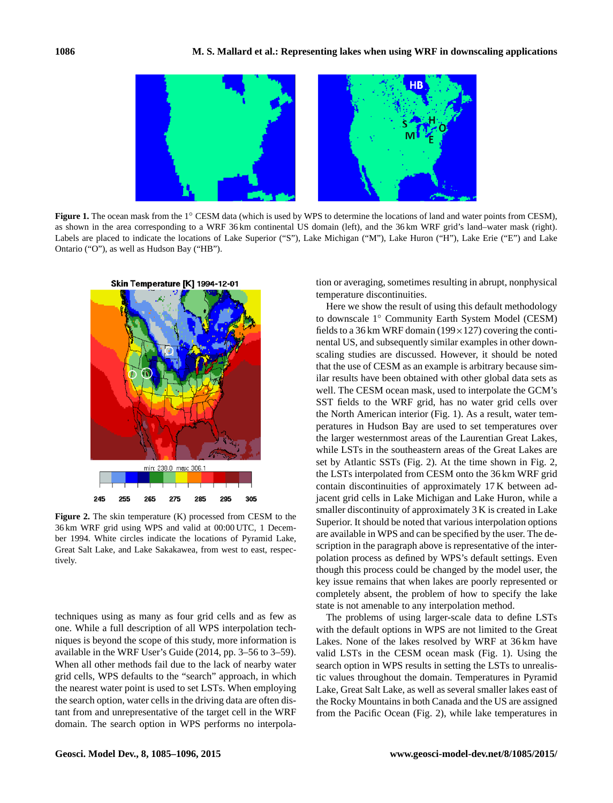

**Figure 1.** The ocean mask from the 1◦ CESM data (which is used by WPS to determine the locations of land and water points from CESM), as shown in the area corresponding to a WRF 36 km continental US domain (left), and the 36 km WRF grid's land–water mask (right). Labels are placed to indicate the locations of Lake Superior ("S"), Lake Michigan ("M"), Lake Huron ("H"), Lake Erie ("E") and Lake Ontario ("O"), as well as Hudson Bay ("HB").



**Figure 2.** The skin temperature (K) processed from CESM to the 36 km WRF grid using WPS and valid at 00:00 UTC, 1 December 1994. White circles indicate the locations of Pyramid Lake, Great Salt Lake, and Lake Sakakawea, from west to east, respectively.

techniques using as many as four grid cells and as few as one. While a full description of all WPS interpolation techniques is beyond the scope of this study, more information is available in the WRF User's Guide (2014, pp. 3–56 to 3–59). When all other methods fail due to the lack of nearby water grid cells, WPS defaults to the "search" approach, in which the nearest water point is used to set LSTs. When employing the search option, water cells in the driving data are often distant from and unrepresentative of the target cell in the WRF domain. The search option in WPS performs no interpolation or averaging, sometimes resulting in abrupt, nonphysical temperature discontinuities.

Here we show the result of using this default methodology to downscale 1◦ Community Earth System Model (CESM) fields to a 36 km WRF domain (199 $\times$ 127) covering the continental US, and subsequently similar examples in other downscaling studies are discussed. However, it should be noted that the use of CESM as an example is arbitrary because similar results have been obtained with other global data sets as well. The CESM ocean mask, used to interpolate the GCM's SST fields to the WRF grid, has no water grid cells over the North American interior (Fig. 1). As a result, water temperatures in Hudson Bay are used to set temperatures over the larger westernmost areas of the Laurentian Great Lakes, while LSTs in the southeastern areas of the Great Lakes are set by Atlantic SSTs (Fig. 2). At the time shown in Fig. 2, the LSTs interpolated from CESM onto the 36 km WRF grid contain discontinuities of approximately 17 K between adjacent grid cells in Lake Michigan and Lake Huron, while a smaller discontinuity of approximately 3 K is created in Lake Superior. It should be noted that various interpolation options are available in WPS and can be specified by the user. The description in the paragraph above is representative of the interpolation process as defined by WPS's default settings. Even though this process could be changed by the model user, the key issue remains that when lakes are poorly represented or completely absent, the problem of how to specify the lake state is not amenable to any interpolation method.

The problems of using larger-scale data to define LSTs with the default options in WPS are not limited to the Great Lakes. None of the lakes resolved by WRF at 36 km have valid LSTs in the CESM ocean mask (Fig. 1). Using the search option in WPS results in setting the LSTs to unrealistic values throughout the domain. Temperatures in Pyramid Lake, Great Salt Lake, as well as several smaller lakes east of the Rocky Mountains in both Canada and the US are assigned from the Pacific Ocean (Fig. 2), while lake temperatures in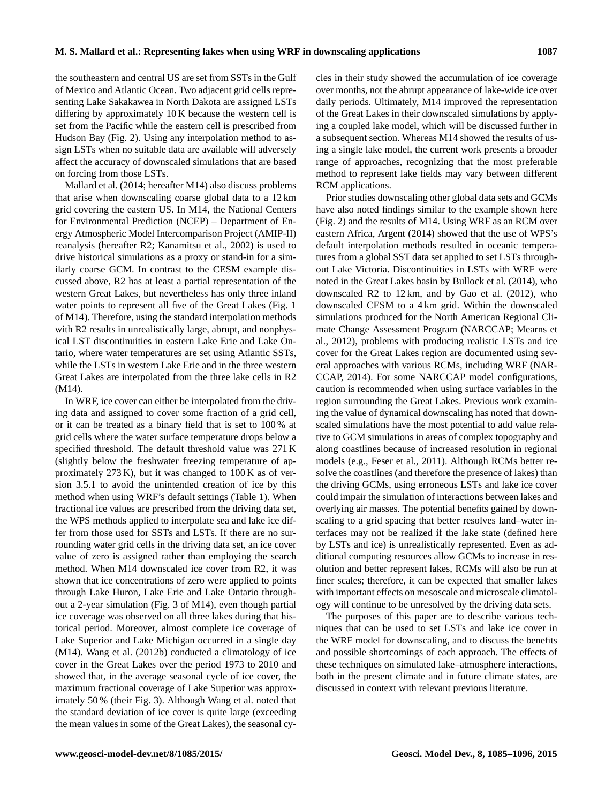the southeastern and central US are set from SSTs in the Gulf of Mexico and Atlantic Ocean. Two adjacent grid cells representing Lake Sakakawea in North Dakota are assigned LSTs differing by approximately 10 K because the western cell is set from the Pacific while the eastern cell is prescribed from Hudson Bay (Fig. 2). Using any interpolation method to assign LSTs when no suitable data are available will adversely affect the accuracy of downscaled simulations that are based on forcing from those LSTs.

Mallard et al. (2014; hereafter M14) also discuss problems that arise when downscaling coarse global data to a 12 km grid covering the eastern US. In M14, the National Centers for Environmental Prediction (NCEP) – Department of Energy Atmospheric Model Intercomparison Project (AMIP-II) reanalysis (hereafter R2; Kanamitsu et al., 2002) is used to drive historical simulations as a proxy or stand-in for a similarly coarse GCM. In contrast to the CESM example discussed above, R2 has at least a partial representation of the western Great Lakes, but nevertheless has only three inland water points to represent all five of the Great Lakes (Fig. 1 of M14). Therefore, using the standard interpolation methods with R2 results in unrealistically large, abrupt, and nonphysical LST discontinuities in eastern Lake Erie and Lake Ontario, where water temperatures are set using Atlantic SSTs, while the LSTs in western Lake Erie and in the three western Great Lakes are interpolated from the three lake cells in R2 (M14).

In WRF, ice cover can either be interpolated from the driving data and assigned to cover some fraction of a grid cell, or it can be treated as a binary field that is set to 100 % at grid cells where the water surface temperature drops below a specified threshold. The default threshold value was 271 K (slightly below the freshwater freezing temperature of approximately 273 K), but it was changed to 100 K as of version 3.5.1 to avoid the unintended creation of ice by this method when using WRF's default settings (Table 1). When fractional ice values are prescribed from the driving data set, the WPS methods applied to interpolate sea and lake ice differ from those used for SSTs and LSTs. If there are no surrounding water grid cells in the driving data set, an ice cover value of zero is assigned rather than employing the search method. When M14 downscaled ice cover from R2, it was shown that ice concentrations of zero were applied to points through Lake Huron, Lake Erie and Lake Ontario throughout a 2-year simulation (Fig. 3 of M14), even though partial ice coverage was observed on all three lakes during that historical period. Moreover, almost complete ice coverage of Lake Superior and Lake Michigan occurred in a single day (M14). Wang et al. (2012b) conducted a climatology of ice cover in the Great Lakes over the period 1973 to 2010 and showed that, in the average seasonal cycle of ice cover, the maximum fractional coverage of Lake Superior was approximately 50 % (their Fig. 3). Although Wang et al. noted that the standard deviation of ice cover is quite large (exceeding the mean values in some of the Great Lakes), the seasonal cycles in their study showed the accumulation of ice coverage over months, not the abrupt appearance of lake-wide ice over daily periods. Ultimately, M14 improved the representation of the Great Lakes in their downscaled simulations by applying a coupled lake model, which will be discussed further in a subsequent section. Whereas M14 showed the results of using a single lake model, the current work presents a broader range of approaches, recognizing that the most preferable method to represent lake fields may vary between different RCM applications.

Prior studies downscaling other global data sets and GCMs have also noted findings similar to the example shown here (Fig. 2) and the results of M14. Using WRF as an RCM over eastern Africa, Argent (2014) showed that the use of WPS's default interpolation methods resulted in oceanic temperatures from a global SST data set applied to set LSTs throughout Lake Victoria. Discontinuities in LSTs with WRF were noted in the Great Lakes basin by Bullock et al. (2014), who downscaled R2 to 12 km, and by Gao et al. (2012), who downscaled CESM to a 4 km grid. Within the downscaled simulations produced for the North American Regional Climate Change Assessment Program (NARCCAP; Mearns et al., 2012), problems with producing realistic LSTs and ice cover for the Great Lakes region are documented using several approaches with various RCMs, including WRF (NAR-CCAP, 2014). For some NARCCAP model configurations, caution is recommended when using surface variables in the region surrounding the Great Lakes. Previous work examining the value of dynamical downscaling has noted that downscaled simulations have the most potential to add value relative to GCM simulations in areas of complex topography and along coastlines because of increased resolution in regional models (e.g., Feser et al., 2011). Although RCMs better resolve the coastlines (and therefore the presence of lakes) than the driving GCMs, using erroneous LSTs and lake ice cover could impair the simulation of interactions between lakes and overlying air masses. The potential benefits gained by downscaling to a grid spacing that better resolves land–water interfaces may not be realized if the lake state (defined here by LSTs and ice) is unrealistically represented. Even as additional computing resources allow GCMs to increase in resolution and better represent lakes, RCMs will also be run at finer scales; therefore, it can be expected that smaller lakes with important effects on mesoscale and microscale climatology will continue to be unresolved by the driving data sets.

The purposes of this paper are to describe various techniques that can be used to set LSTs and lake ice cover in the WRF model for downscaling, and to discuss the benefits and possible shortcomings of each approach. The effects of these techniques on simulated lake–atmosphere interactions, both in the present climate and in future climate states, are discussed in context with relevant previous literature.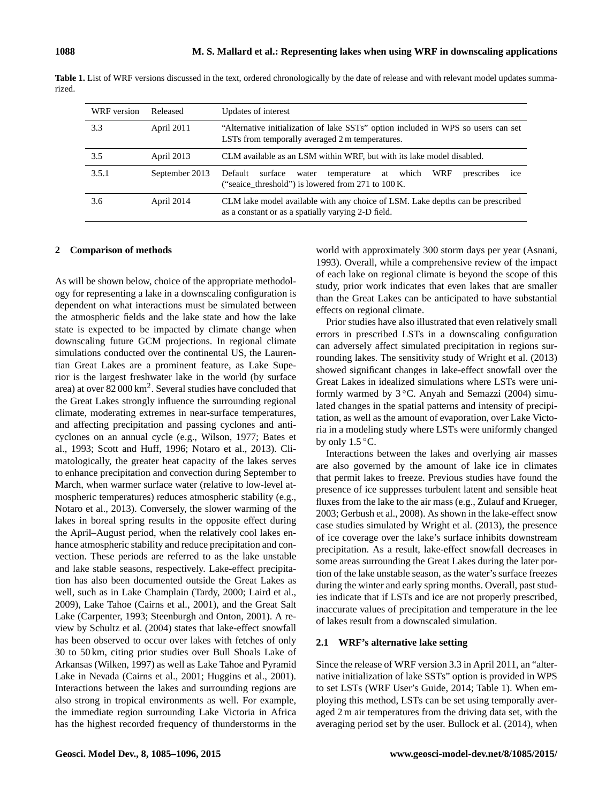| WRF version | Released       | Updates of interest                                                                                                                   |  |
|-------------|----------------|---------------------------------------------------------------------------------------------------------------------------------------|--|
| 3.3         | April 2011     | "Alternative initialization of lake SSTs" option included in WPS so users can set<br>LSTs from temporally averaged 2 m temperatures.  |  |
| 3.5         | April 2013     | CLM available as an LSM within WRF, but with its lake model disabled.                                                                 |  |
| 3.5.1       | September 2013 | WRF<br>Default<br>surface<br>temperature at which<br>prescribes<br>ice<br>water<br>("seaice_threshold") is lowered from 271 to 100 K. |  |
| 3.6         | April 2014     | CLM lake model available with any choice of LSM. Lake depths can be prescribed<br>as a constant or as a spatially varying 2-D field.  |  |

Table 1. List of WRF versions discussed in the text, ordered chronologically by the date of release and with relevant model updates summarized.

## **2 Comparison of methods**

As will be shown below, choice of the appropriate methodology for representing a lake in a downscaling configuration is dependent on what interactions must be simulated between the atmospheric fields and the lake state and how the lake state is expected to be impacted by climate change when downscaling future GCM projections. In regional climate simulations conducted over the continental US, the Laurentian Great Lakes are a prominent feature, as Lake Superior is the largest freshwater lake in the world (by surface area) at over  $82000 \,\mathrm{km}^2$ . Several studies have concluded that the Great Lakes strongly influence the surrounding regional climate, moderating extremes in near-surface temperatures, and affecting precipitation and passing cyclones and anticyclones on an annual cycle (e.g., Wilson, 1977; Bates et al., 1993; Scott and Huff, 1996; Notaro et al., 2013). Climatologically, the greater heat capacity of the lakes serves to enhance precipitation and convection during September to March, when warmer surface water (relative to low-level atmospheric temperatures) reduces atmospheric stability (e.g., Notaro et al., 2013). Conversely, the slower warming of the lakes in boreal spring results in the opposite effect during the April–August period, when the relatively cool lakes enhance atmospheric stability and reduce precipitation and convection. These periods are referred to as the lake unstable and lake stable seasons, respectively. Lake-effect precipitation has also been documented outside the Great Lakes as well, such as in Lake Champlain (Tardy, 2000; Laird et al., 2009), Lake Tahoe (Cairns et al., 2001), and the Great Salt Lake (Carpenter, 1993; Steenburgh and Onton, 2001). A review by Schultz et al. (2004) states that lake-effect snowfall has been observed to occur over lakes with fetches of only 30 to 50 km, citing prior studies over Bull Shoals Lake of Arkansas (Wilken, 1997) as well as Lake Tahoe and Pyramid Lake in Nevada (Cairns et al., 2001; Huggins et al., 2001). Interactions between the lakes and surrounding regions are also strong in tropical environments as well. For example, the immediate region surrounding Lake Victoria in Africa has the highest recorded frequency of thunderstorms in the

world with approximately 300 storm days per year (Asnani, 1993). Overall, while a comprehensive review of the impact of each lake on regional climate is beyond the scope of this study, prior work indicates that even lakes that are smaller than the Great Lakes can be anticipated to have substantial effects on regional climate.

Prior studies have also illustrated that even relatively small errors in prescribed LSTs in a downscaling configuration can adversely affect simulated precipitation in regions surrounding lakes. The sensitivity study of Wright et al. (2013) showed significant changes in lake-effect snowfall over the Great Lakes in idealized simulations where LSTs were uniformly warmed by 3 ◦C. Anyah and Semazzi (2004) simulated changes in the spatial patterns and intensity of precipitation, as well as the amount of evaporation, over Lake Victoria in a modeling study where LSTs were uniformly changed by only  $1.5\,^{\circ}$ C.

Interactions between the lakes and overlying air masses are also governed by the amount of lake ice in climates that permit lakes to freeze. Previous studies have found the presence of ice suppresses turbulent latent and sensible heat fluxes from the lake to the air mass (e.g., Zulauf and Krueger, 2003; Gerbush et al., 2008). As shown in the lake-effect snow case studies simulated by Wright et al. (2013), the presence of ice coverage over the lake's surface inhibits downstream precipitation. As a result, lake-effect snowfall decreases in some areas surrounding the Great Lakes during the later portion of the lake unstable season, as the water's surface freezes during the winter and early spring months. Overall, past studies indicate that if LSTs and ice are not properly prescribed, inaccurate values of precipitation and temperature in the lee of lakes result from a downscaled simulation.

# **2.1 WRF's alternative lake setting**

Since the release of WRF version 3.3 in April 2011, an "alternative initialization of lake SSTs" option is provided in WPS to set LSTs (WRF User's Guide, 2014; Table 1). When employing this method, LSTs can be set using temporally averaged 2 m air temperatures from the driving data set, with the averaging period set by the user. Bullock et al. (2014), when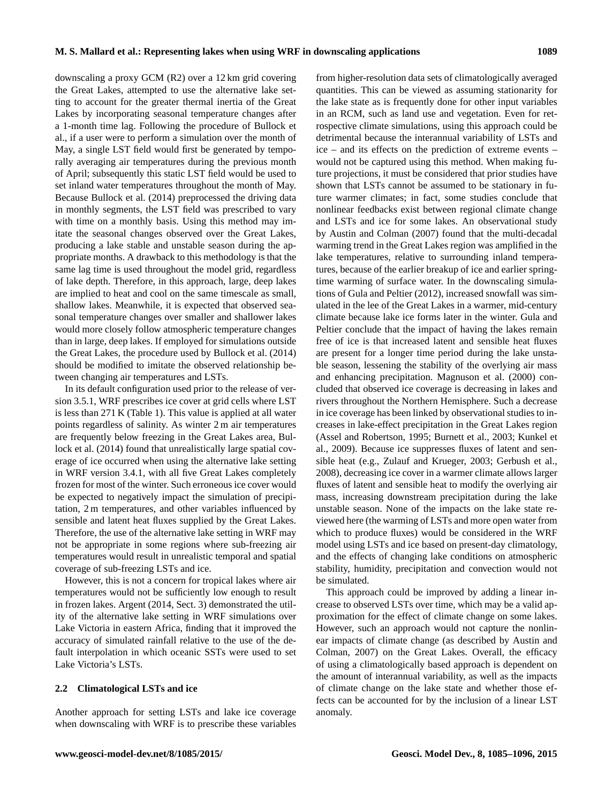downscaling a proxy GCM (R2) over a 12 km grid covering the Great Lakes, attempted to use the alternative lake setting to account for the greater thermal inertia of the Great Lakes by incorporating seasonal temperature changes after a 1-month time lag. Following the procedure of Bullock et al., if a user were to perform a simulation over the month of May, a single LST field would first be generated by temporally averaging air temperatures during the previous month of April; subsequently this static LST field would be used to set inland water temperatures throughout the month of May. Because Bullock et al. (2014) preprocessed the driving data in monthly segments, the LST field was prescribed to vary with time on a monthly basis. Using this method may imitate the seasonal changes observed over the Great Lakes, producing a lake stable and unstable season during the appropriate months. A drawback to this methodology is that the same lag time is used throughout the model grid, regardless of lake depth. Therefore, in this approach, large, deep lakes are implied to heat and cool on the same timescale as small, shallow lakes. Meanwhile, it is expected that observed seasonal temperature changes over smaller and shallower lakes would more closely follow atmospheric temperature changes than in large, deep lakes. If employed for simulations outside the Great Lakes, the procedure used by Bullock et al. (2014) should be modified to imitate the observed relationship between changing air temperatures and LSTs.

In its default configuration used prior to the release of version 3.5.1, WRF prescribes ice cover at grid cells where LST is less than 271 K (Table 1). This value is applied at all water points regardless of salinity. As winter 2 m air temperatures are frequently below freezing in the Great Lakes area, Bullock et al. (2014) found that unrealistically large spatial coverage of ice occurred when using the alternative lake setting in WRF version 3.4.1, with all five Great Lakes completely frozen for most of the winter. Such erroneous ice cover would be expected to negatively impact the simulation of precipitation, 2 m temperatures, and other variables influenced by sensible and latent heat fluxes supplied by the Great Lakes. Therefore, the use of the alternative lake setting in WRF may not be appropriate in some regions where sub-freezing air temperatures would result in unrealistic temporal and spatial coverage of sub-freezing LSTs and ice.

However, this is not a concern for tropical lakes where air temperatures would not be sufficiently low enough to result in frozen lakes. Argent (2014, Sect. 3) demonstrated the utility of the alternative lake setting in WRF simulations over Lake Victoria in eastern Africa, finding that it improved the accuracy of simulated rainfall relative to the use of the default interpolation in which oceanic SSTs were used to set Lake Victoria's LSTs.

#### **2.2 Climatological LSTs and ice**

Another approach for setting LSTs and lake ice coverage when downscaling with WRF is to prescribe these variables

from higher-resolution data sets of climatologically averaged quantities. This can be viewed as assuming stationarity for the lake state as is frequently done for other input variables in an RCM, such as land use and vegetation. Even for retrospective climate simulations, using this approach could be detrimental because the interannual variability of LSTs and ice – and its effects on the prediction of extreme events – would not be captured using this method. When making future projections, it must be considered that prior studies have shown that LSTs cannot be assumed to be stationary in future warmer climates; in fact, some studies conclude that nonlinear feedbacks exist between regional climate change and LSTs and ice for some lakes. An observational study by Austin and Colman (2007) found that the multi-decadal warming trend in the Great Lakes region was amplified in the lake temperatures, relative to surrounding inland temperatures, because of the earlier breakup of ice and earlier springtime warming of surface water. In the downscaling simulations of Gula and Peltier (2012), increased snowfall was simulated in the lee of the Great Lakes in a warmer, mid-century climate because lake ice forms later in the winter. Gula and Peltier conclude that the impact of having the lakes remain free of ice is that increased latent and sensible heat fluxes are present for a longer time period during the lake unstable season, lessening the stability of the overlying air mass and enhancing precipitation. Magnuson et al. (2000) concluded that observed ice coverage is decreasing in lakes and rivers throughout the Northern Hemisphere. Such a decrease in ice coverage has been linked by observational studies to increases in lake-effect precipitation in the Great Lakes region (Assel and Robertson, 1995; Burnett et al., 2003; Kunkel et al., 2009). Because ice suppresses fluxes of latent and sensible heat (e.g., Zulauf and Krueger, 2003; Gerbush et al., 2008), decreasing ice cover in a warmer climate allows larger fluxes of latent and sensible heat to modify the overlying air mass, increasing downstream precipitation during the lake unstable season. None of the impacts on the lake state reviewed here (the warming of LSTs and more open water from which to produce fluxes) would be considered in the WRF model using LSTs and ice based on present-day climatology, and the effects of changing lake conditions on atmospheric stability, humidity, precipitation and convection would not be simulated.

This approach could be improved by adding a linear increase to observed LSTs over time, which may be a valid approximation for the effect of climate change on some lakes. However, such an approach would not capture the nonlinear impacts of climate change (as described by Austin and Colman, 2007) on the Great Lakes. Overall, the efficacy of using a climatologically based approach is dependent on the amount of interannual variability, as well as the impacts of climate change on the lake state and whether those effects can be accounted for by the inclusion of a linear LST anomaly.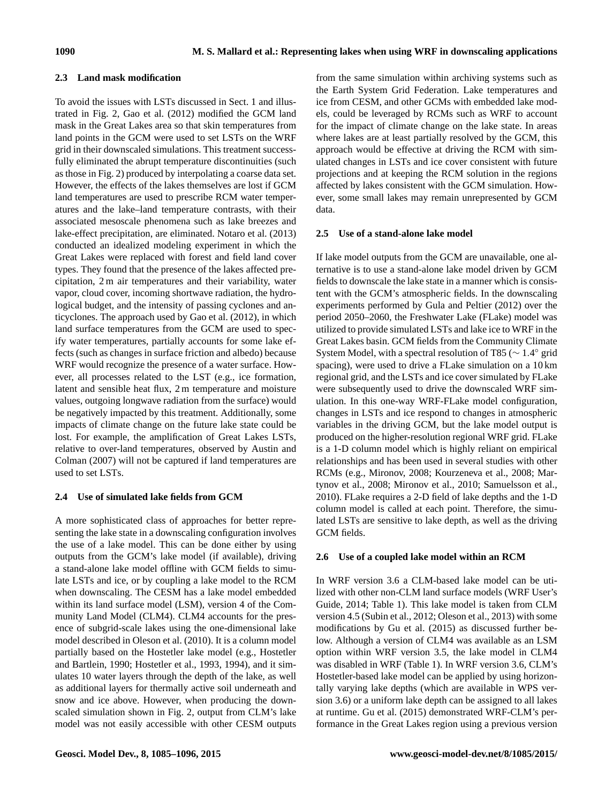## **2.3 Land mask modification**

To avoid the issues with LSTs discussed in Sect. 1 and illustrated in Fig. 2, Gao et al. (2012) modified the GCM land mask in the Great Lakes area so that skin temperatures from land points in the GCM were used to set LSTs on the WRF grid in their downscaled simulations. This treatment successfully eliminated the abrupt temperature discontinuities (such as those in Fig. 2) produced by interpolating a coarse data set. However, the effects of the lakes themselves are lost if GCM land temperatures are used to prescribe RCM water temperatures and the lake–land temperature contrasts, with their associated mesoscale phenomena such as lake breezes and lake-effect precipitation, are eliminated. Notaro et al. (2013) conducted an idealized modeling experiment in which the Great Lakes were replaced with forest and field land cover types. They found that the presence of the lakes affected precipitation, 2 m air temperatures and their variability, water vapor, cloud cover, incoming shortwave radiation, the hydrological budget, and the intensity of passing cyclones and anticyclones. The approach used by Gao et al. (2012), in which land surface temperatures from the GCM are used to specify water temperatures, partially accounts for some lake effects (such as changes in surface friction and albedo) because WRF would recognize the presence of a water surface. However, all processes related to the LST (e.g., ice formation, latent and sensible heat flux, 2 m temperature and moisture values, outgoing longwave radiation from the surface) would be negatively impacted by this treatment. Additionally, some impacts of climate change on the future lake state could be lost. For example, the amplification of Great Lakes LSTs, relative to over-land temperatures, observed by Austin and Colman (2007) will not be captured if land temperatures are used to set LSTs.

# **2.4 Use of simulated lake fields from GCM**

A more sophisticated class of approaches for better representing the lake state in a downscaling configuration involves the use of a lake model. This can be done either by using outputs from the GCM's lake model (if available), driving a stand-alone lake model offline with GCM fields to simulate LSTs and ice, or by coupling a lake model to the RCM when downscaling. The CESM has a lake model embedded within its land surface model (LSM), version 4 of the Community Land Model (CLM4). CLM4 accounts for the presence of subgrid-scale lakes using the one-dimensional lake model described in Oleson et al. (2010). It is a column model partially based on the Hostetler lake model (e.g., Hostetler and Bartlein, 1990; Hostetler et al., 1993, 1994), and it simulates 10 water layers through the depth of the lake, as well as additional layers for thermally active soil underneath and snow and ice above. However, when producing the downscaled simulation shown in Fig. 2, output from CLM's lake model was not easily accessible with other CESM outputs from the same simulation within archiving systems such as the Earth System Grid Federation. Lake temperatures and ice from CESM, and other GCMs with embedded lake models, could be leveraged by RCMs such as WRF to account for the impact of climate change on the lake state. In areas where lakes are at least partially resolved by the GCM, this approach would be effective at driving the RCM with simulated changes in LSTs and ice cover consistent with future projections and at keeping the RCM solution in the regions affected by lakes consistent with the GCM simulation. However, some small lakes may remain unrepresented by GCM data.

## **2.5 Use of a stand-alone lake model**

If lake model outputs from the GCM are unavailable, one alternative is to use a stand-alone lake model driven by GCM fields to downscale the lake state in a manner which is consistent with the GCM's atmospheric fields. In the downscaling experiments performed by Gula and Peltier (2012) over the period 2050–2060, the Freshwater Lake (FLake) model was utilized to provide simulated LSTs and lake ice to WRF in the Great Lakes basin. GCM fields from the Community Climate System Model, with a spectral resolution of T85 ( $\sim 1.4^{\circ}$  grid spacing), were used to drive a FLake simulation on a 10 km regional grid, and the LSTs and ice cover simulated by FLake were subsequently used to drive the downscaled WRF simulation. In this one-way WRF-FLake model configuration, changes in LSTs and ice respond to changes in atmospheric variables in the driving GCM, but the lake model output is produced on the higher-resolution regional WRF grid. FLake is a 1-D column model which is highly reliant on empirical relationships and has been used in several studies with other RCMs (e.g., Mironov, 2008; Kourzeneva et al., 2008; Martynov et al., 2008; Mironov et al., 2010; Samuelsson et al., 2010). FLake requires a 2-D field of lake depths and the 1-D column model is called at each point. Therefore, the simulated LSTs are sensitive to lake depth, as well as the driving GCM fields.

## **2.6 Use of a coupled lake model within an RCM**

In WRF version 3.6 a CLM-based lake model can be utilized with other non-CLM land surface models (WRF User's Guide, 2014; Table 1). This lake model is taken from CLM version 4.5 (Subin et al., 2012; Oleson et al., 2013) with some modifications by Gu et al. (2015) as discussed further below. Although a version of CLM4 was available as an LSM option within WRF version 3.5, the lake model in CLM4 was disabled in WRF (Table 1). In WRF version 3.6, CLM's Hostetler-based lake model can be applied by using horizontally varying lake depths (which are available in WPS version 3.6) or a uniform lake depth can be assigned to all lakes at runtime. Gu et al. (2015) demonstrated WRF-CLM's performance in the Great Lakes region using a previous version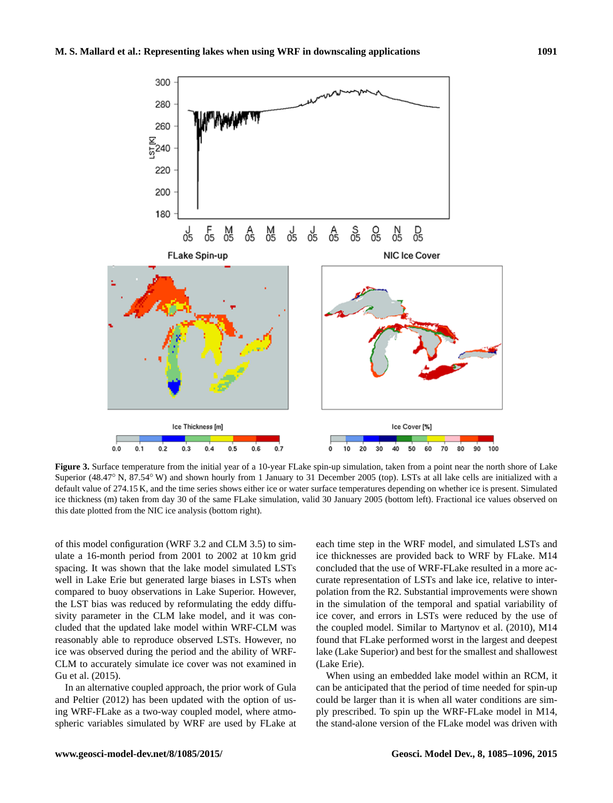

**Figure 3.** Surface temperature from the initial year of a 10-year FLake spin-up simulation, taken from a point near the north shore of Lake Superior (48.47° N, 87.54° W) and shown hourly from 1 January to 31 December 2005 (top). LSTs at all lake cells are initialized with a default value of 274.15 K, and the time series shows either ice or water surface temperatures depending on whether ice is present. Simulated ice thickness (m) taken from day 30 of the same FLake simulation, valid 30 January 2005 (bottom left). Fractional ice values observed on this date plotted from the NIC ice analysis (bottom right).

of this model configuration (WRF 3.2 and CLM 3.5) to simulate a 16-month period from 2001 to 2002 at 10 km grid spacing. It was shown that the lake model simulated LSTs well in Lake Erie but generated large biases in LSTs when compared to buoy observations in Lake Superior. However, the LST bias was reduced by reformulating the eddy diffusivity parameter in the CLM lake model, and it was concluded that the updated lake model within WRF-CLM was reasonably able to reproduce observed LSTs. However, no ice was observed during the period and the ability of WRF-CLM to accurately simulate ice cover was not examined in Gu et al. (2015).

In an alternative coupled approach, the prior work of Gula and Peltier (2012) has been updated with the option of using WRF-FLake as a two-way coupled model, where atmospheric variables simulated by WRF are used by FLake at

each time step in the WRF model, and simulated LSTs and ice thicknesses are provided back to WRF by FLake. M14 concluded that the use of WRF-FLake resulted in a more accurate representation of LSTs and lake ice, relative to interpolation from the R2. Substantial improvements were shown in the simulation of the temporal and spatial variability of ice cover, and errors in LSTs were reduced by the use of the coupled model. Similar to Martynov et al. (2010), M14 found that FLake performed worst in the largest and deepest lake (Lake Superior) and best for the smallest and shallowest (Lake Erie).

When using an embedded lake model within an RCM, it can be anticipated that the period of time needed for spin-up could be larger than it is when all water conditions are simply prescribed. To spin up the WRF-FLake model in M14, the stand-alone version of the FLake model was driven with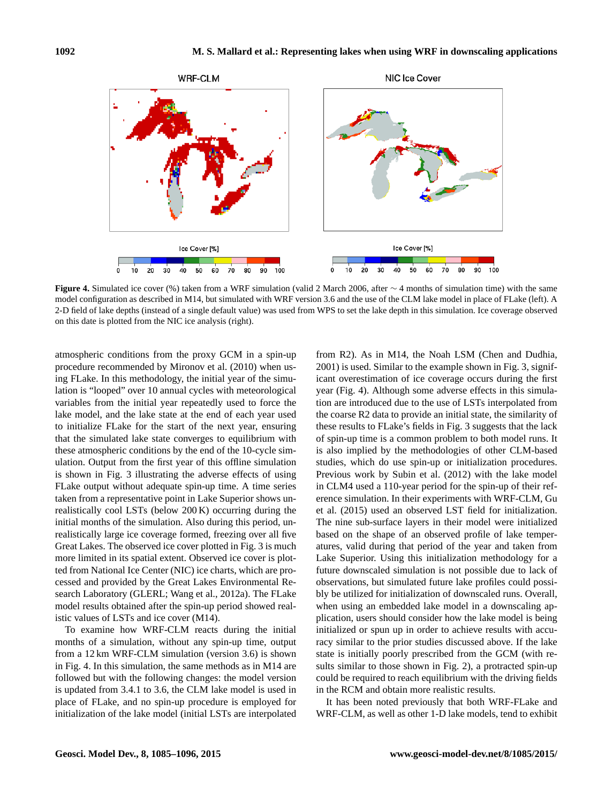

**Figure 4.** Simulated ice cover (%) taken from a WRF simulation (valid 2 March 2006, after ∼ 4 months of simulation time) with the same model configuration as described in M14, but simulated with WRF version 3.6 and the use of the CLM lake model in place of FLake (left). A 2-D field of lake depths (instead of a single default value) was used from WPS to set the lake depth in this simulation. Ice coverage observed on this date is plotted from the NIC ice analysis (right).

atmospheric conditions from the proxy GCM in a spin-up procedure recommended by Mironov et al. (2010) when using FLake. In this methodology, the initial year of the simulation is "looped" over 10 annual cycles with meteorological variables from the initial year repeatedly used to force the lake model, and the lake state at the end of each year used to initialize FLake for the start of the next year, ensuring that the simulated lake state converges to equilibrium with these atmospheric conditions by the end of the 10-cycle simulation. Output from the first year of this offline simulation is shown in Fig. 3 illustrating the adverse effects of using FLake output without adequate spin-up time. A time series taken from a representative point in Lake Superior shows unrealistically cool LSTs (below 200 K) occurring during the initial months of the simulation. Also during this period, unrealistically large ice coverage formed, freezing over all five Great Lakes. The observed ice cover plotted in Fig. 3 is much more limited in its spatial extent. Observed ice cover is plotted from National Ice Center (NIC) ice charts, which are processed and provided by the Great Lakes Environmental Research Laboratory (GLERL; Wang et al., 2012a). The FLake model results obtained after the spin-up period showed realistic values of LSTs and ice cover (M14).

To examine how WRF-CLM reacts during the initial months of a simulation, without any spin-up time, output from a 12 km WRF-CLM simulation (version 3.6) is shown in Fig. 4. In this simulation, the same methods as in M14 are followed but with the following changes: the model version is updated from 3.4.1 to 3.6, the CLM lake model is used in place of FLake, and no spin-up procedure is employed for initialization of the lake model (initial LSTs are interpolated from R2). As in M14, the Noah LSM (Chen and Dudhia, 2001) is used. Similar to the example shown in Fig. 3, significant overestimation of ice coverage occurs during the first year (Fig. 4). Although some adverse effects in this simulation are introduced due to the use of LSTs interpolated from the coarse R2 data to provide an initial state, the similarity of these results to FLake's fields in Fig. 3 suggests that the lack of spin-up time is a common problem to both model runs. It is also implied by the methodologies of other CLM-based studies, which do use spin-up or initialization procedures. Previous work by Subin et al. (2012) with the lake model in CLM4 used a 110-year period for the spin-up of their reference simulation. In their experiments with WRF-CLM, Gu et al. (2015) used an observed LST field for initialization. The nine sub-surface layers in their model were initialized based on the shape of an observed profile of lake temperatures, valid during that period of the year and taken from Lake Superior. Using this initialization methodology for a future downscaled simulation is not possible due to lack of observations, but simulated future lake profiles could possibly be utilized for initialization of downscaled runs. Overall, when using an embedded lake model in a downscaling application, users should consider how the lake model is being initialized or spun up in order to achieve results with accuracy similar to the prior studies discussed above. If the lake state is initially poorly prescribed from the GCM (with results similar to those shown in Fig. 2), a protracted spin-up could be required to reach equilibrium with the driving fields in the RCM and obtain more realistic results.

It has been noted previously that both WRF-FLake and WRF-CLM, as well as other 1-D lake models, tend to exhibit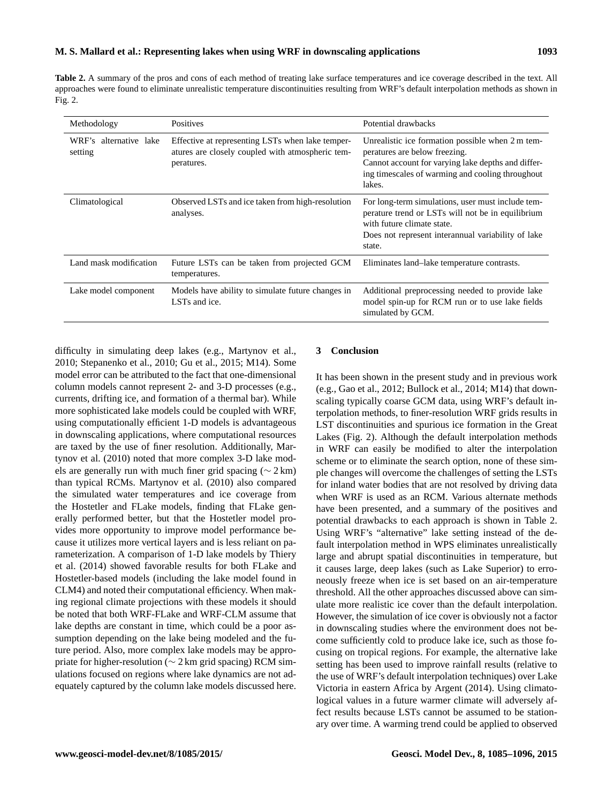**Table 2.** A summary of the pros and cons of each method of treating lake surface temperatures and ice coverage described in the text. All approaches were found to eliminate unrealistic temperature discontinuities resulting from WRF's default interpolation methods as shown in Fig. 2.

| Methodology                       | <b>Positives</b>                                                                                                   | Potential drawbacks                                                                                                                                                                                   |
|-----------------------------------|--------------------------------------------------------------------------------------------------------------------|-------------------------------------------------------------------------------------------------------------------------------------------------------------------------------------------------------|
| WRF's alternative lake<br>setting | Effective at representing LSTs when lake temper-<br>atures are closely coupled with atmospheric tem-<br>peratures. | Unrealistic ice formation possible when 2 m tem-<br>peratures are below freezing.<br>Cannot account for varying lake depths and differ-<br>ing timescales of warming and cooling throughout<br>lakes. |
| Climatological                    | Observed LSTs and ice taken from high-resolution<br>analyses.                                                      | For long-term simulations, user must include tem-<br>perature trend or LSTs will not be in equilibrium<br>with future climate state.<br>Does not represent interannual variability of lake<br>state.  |
| Land mask modification            | Future LSTs can be taken from projected GCM<br>temperatures.                                                       | Eliminates land-lake temperature contrasts.                                                                                                                                                           |
| Lake model component              | Models have ability to simulate future changes in<br>LSTs and ice.                                                 | Additional preprocessing needed to provide lake<br>model spin-up for RCM run or to use lake fields<br>simulated by GCM.                                                                               |

difficulty in simulating deep lakes (e.g., Martynov et al., 2010; Stepanenko et al., 2010; Gu et al., 2015; M14). Some model error can be attributed to the fact that one-dimensional column models cannot represent 2- and 3-D processes (e.g., currents, drifting ice, and formation of a thermal bar). While more sophisticated lake models could be coupled with WRF, using computationally efficient 1-D models is advantageous in downscaling applications, where computational resources are taxed by the use of finer resolution. Additionally, Martynov et al. (2010) noted that more complex 3-D lake models are generally run with much finer grid spacing (∼ 2 km) than typical RCMs. Martynov et al. (2010) also compared the simulated water temperatures and ice coverage from the Hostetler and FLake models, finding that FLake generally performed better, but that the Hostetler model provides more opportunity to improve model performance because it utilizes more vertical layers and is less reliant on parameterization. A comparison of 1-D lake models by Thiery et al. (2014) showed favorable results for both FLake and Hostetler-based models (including the lake model found in CLM4) and noted their computational efficiency. When making regional climate projections with these models it should be noted that both WRF-FLake and WRF-CLM assume that lake depths are constant in time, which could be a poor assumption depending on the lake being modeled and the future period. Also, more complex lake models may be appropriate for higher-resolution (∼ 2 km grid spacing) RCM simulations focused on regions where lake dynamics are not adequately captured by the column lake models discussed here.

## **3 Conclusion**

It has been shown in the present study and in previous work (e.g., Gao et al., 2012; Bullock et al., 2014; M14) that downscaling typically coarse GCM data, using WRF's default interpolation methods, to finer-resolution WRF grids results in LST discontinuities and spurious ice formation in the Great Lakes (Fig. 2). Although the default interpolation methods in WRF can easily be modified to alter the interpolation scheme or to eliminate the search option, none of these simple changes will overcome the challenges of setting the LSTs for inland water bodies that are not resolved by driving data when WRF is used as an RCM. Various alternate methods have been presented, and a summary of the positives and potential drawbacks to each approach is shown in Table 2. Using WRF's "alternative" lake setting instead of the default interpolation method in WPS eliminates unrealistically large and abrupt spatial discontinuities in temperature, but it causes large, deep lakes (such as Lake Superior) to erroneously freeze when ice is set based on an air-temperature threshold. All the other approaches discussed above can simulate more realistic ice cover than the default interpolation. However, the simulation of ice cover is obviously not a factor in downscaling studies where the environment does not become sufficiently cold to produce lake ice, such as those focusing on tropical regions. For example, the alternative lake setting has been used to improve rainfall results (relative to the use of WRF's default interpolation techniques) over Lake Victoria in eastern Africa by Argent (2014). Using climatological values in a future warmer climate will adversely affect results because LSTs cannot be assumed to be stationary over time. A warming trend could be applied to observed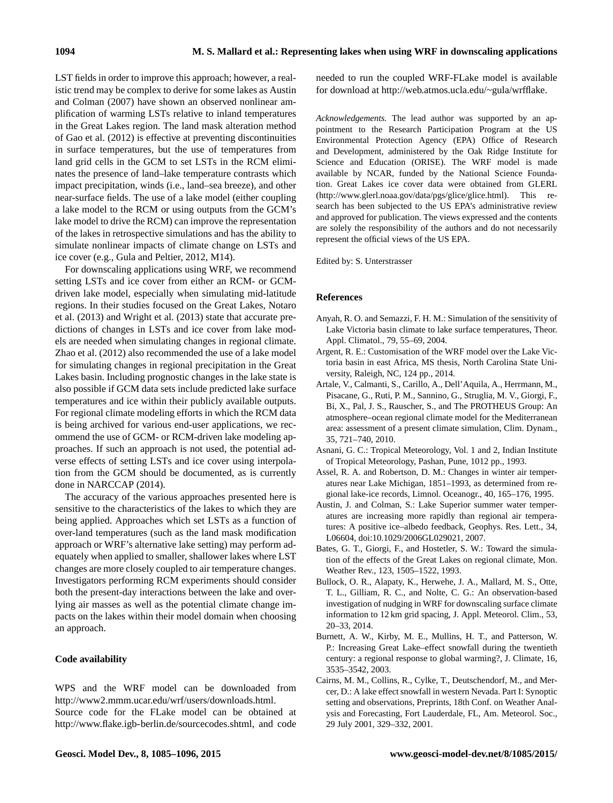LST fields in order to improve this approach; however, a realistic trend may be complex to derive for some lakes as Austin and Colman (2007) have shown an observed nonlinear amplification of warming LSTs relative to inland temperatures in the Great Lakes region. The land mask alteration method of Gao et al. (2012) is effective at preventing discontinuities in surface temperatures, but the use of temperatures from land grid cells in the GCM to set LSTs in the RCM eliminates the presence of land–lake temperature contrasts which impact precipitation, winds (i.e., land–sea breeze), and other near-surface fields. The use of a lake model (either coupling a lake model to the RCM or using outputs from the GCM's lake model to drive the RCM) can improve the representation of the lakes in retrospective simulations and has the ability to simulate nonlinear impacts of climate change on LSTs and ice cover (e.g., Gula and Peltier, 2012, M14).

For downscaling applications using WRF, we recommend setting LSTs and ice cover from either an RCM- or GCMdriven lake model, especially when simulating mid-latitude regions. In their studies focused on the Great Lakes, Notaro et al. (2013) and Wright et al. (2013) state that accurate predictions of changes in LSTs and ice cover from lake models are needed when simulating changes in regional climate. Zhao et al. (2012) also recommended the use of a lake model for simulating changes in regional precipitation in the Great Lakes basin. Including prognostic changes in the lake state is also possible if GCM data sets include predicted lake surface temperatures and ice within their publicly available outputs. For regional climate modeling efforts in which the RCM data is being archived for various end-user applications, we recommend the use of GCM- or RCM-driven lake modeling approaches. If such an approach is not used, the potential adverse effects of setting LSTs and ice cover using interpolation from the GCM should be documented, as is currently done in NARCCAP (2014).

The accuracy of the various approaches presented here is sensitive to the characteristics of the lakes to which they are being applied. Approaches which set LSTs as a function of over-land temperatures (such as the land mask modification approach or WRF's alternative lake setting) may perform adequately when applied to smaller, shallower lakes where LST changes are more closely coupled to air temperature changes. Investigators performing RCM experiments should consider both the present-day interactions between the lake and overlying air masses as well as the potential climate change impacts on the lakes within their model domain when choosing an approach.

#### **Code availability**

WPS and the WRF model can be downloaded from [http://www2.mmm.ucar.edu/wrf/users/downloads.html.](http://www2.mmm.ucar.edu/wrf/users/downloads.html)

Source code for the FLake model can be obtained at [http://www.flake.igb-berlin.de/sourcecodes.shtml,](http://www.flake.igb-berlin.de/sourcecodes.shtml) and code

needed to run the coupled WRF-FLake model is available for download at [http://web.atmos.ucla.edu/~gula/wrfflake.](http://web.atmos.ucla.edu/~gula/wrfflake)

*Acknowledgements.* The lead author was supported by an appointment to the Research Participation Program at the US Environmental Protection Agency (EPA) Office of Research and Development, administered by the Oak Ridge Institute for Science and Education (ORISE). The WRF model is made available by NCAR, funded by the National Science Foundation. Great Lakes ice cover data were obtained from GLERL [\(http://www.glerl.noaa.gov/data/pgs/glice/glice.html\)](http://www.glerl.noaa.gov/data/pgs/glice/glice.html). This research has been subjected to the US EPA's administrative review and approved for publication. The views expressed and the contents are solely the responsibility of the authors and do not necessarily represent the official views of the US EPA.

Edited by: S. Unterstrasser

#### **References**

- Anyah, R. O. and Semazzi, F. H. M.: Simulation of the sensitivity of Lake Victoria basin climate to lake surface temperatures, Theor. Appl. Climatol., 79, 55–69, 2004.
- Argent, R. E.: Customisation of the WRF model over the Lake Victoria basin in east Africa, MS thesis, North Carolina State University, Raleigh, NC, 124 pp., 2014.
- Artale, V., Calmanti, S., Carillo, A., Dell'Aquila, A., Herrmann, M., Pisacane, G., Ruti, P. M., Sannino, G., Struglia, M. V., Giorgi, F., Bi, X., Pal, J. S., Rauscher, S., and The PROTHEUS Group: An atmosphere–ocean regional climate model for the Mediterranean area: assessment of a present climate simulation, Clim. Dynam., 35, 721–740, 2010.
- Asnani, G. C.: Tropical Meteorology, Vol. 1 and 2, Indian Institute of Tropical Meteorology, Pashan, Pune, 1012 pp., 1993.
- Assel, R. A. and Robertson, D. M.: Changes in winter air temperatures near Lake Michigan, 1851–1993, as determined from regional lake-ice records, Limnol. Oceanogr., 40, 165–176, 1995.
- Austin, J. and Colman, S.: Lake Superior summer water temperatures are increasing more rapidly than regional air temperatures: A positive ice–albedo feedback, Geophys. Res. Lett., 34, L06604, doi[:10.1029/2006GL029021,](http://dx.doi.org/10.1029/2006GL029021) 2007.
- Bates, G. T., Giorgi, F., and Hostetler, S. W.: Toward the simulation of the effects of the Great Lakes on regional climate, Mon. Weather Rev., 123, 1505–1522, 1993.
- Bullock, O. R., Alapaty, K., Herwehe, J. A., Mallard, M. S., Otte, T. L., Gilliam, R. C., and Nolte, C. G.: An observation-based investigation of nudging in WRF for downscaling surface climate information to 12 km grid spacing, J. Appl. Meteorol. Clim., 53, 20–33, 2014.
- Burnett, A. W., Kirby, M. E., Mullins, H. T., and Patterson, W. P.: Increasing Great Lake–effect snowfall during the twentieth century: a regional response to global warming?, J. Climate, 16, 3535–3542, 2003.
- Cairns, M. M., Collins, R., Cylke, T., Deutschendorf, M., and Mercer, D.: A lake effect snowfall in western Nevada. Part I: Synoptic setting and observations, Preprints, 18th Conf. on Weather Analysis and Forecasting, Fort Lauderdale, FL, Am. Meteorol. Soc., 29 July 2001, 329–332, 2001.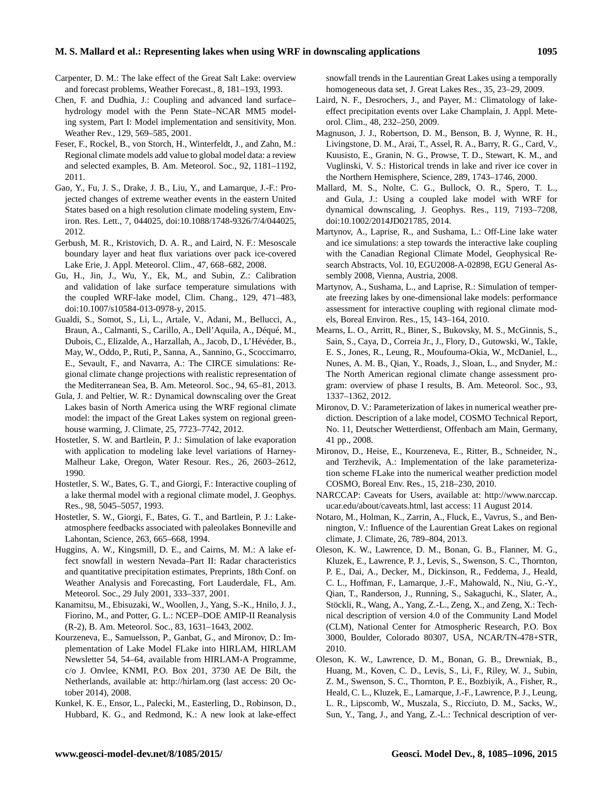## **M. S. Mallard et al.: Representing lakes when using WRF in downscaling applications 1095**

- Carpenter, D. M.: The lake effect of the Great Salt Lake: overview and forecast problems, Weather Forecast., 8, 181–193, 1993.
- Chen, F. and Dudhia, J.: Coupling and advanced land surface– hydrology model with the Penn State–NCAR MM5 modeling system, Part I: Model implementation and sensitivity, Mon. Weather Rev., 129, 569–585, 2001.
- Feser, F., Rockel, B., von Storch, H., Winterfeldt, J., and Zahn, M.: Regional climate models add value to global model data: a review and selected examples, B. Am. Meteorol. Soc., 92, 1181–1192, 2011.
- Gao, Y., Fu, J. S., Drake, J. B., Liu, Y., and Lamarque, J.-F.: Projected changes of extreme weather events in the eastern United States based on a high resolution climate modeling system, Environ. Res. Lett., 7, 044025, doi[:10.1088/1748-9326/7/4/044025,](http://dx.doi.org/10.1088/1748-9326/7/4/044025) 2012.
- Gerbush, M. R., Kristovich, D. A. R., and Laird, N. F.: Mesoscale boundary layer and heat flux variations over pack ice-covered Lake Erie, J. Appl. Meteorol. Clim., 47, 668–682, 2008.
- Gu, H., Jin, J., Wu, Y., Ek, M., and Subin, Z.: Calibration and validation of lake surface temperature simulations with the coupled WRF-lake model, Clim. Chang., 129, 471–483, doi[:10.1007/s10584-013-0978-y,](http://dx.doi.org/10.1007/s10584-013-0978-y) 2015.
- Gualdi, S., Somot, S., Li, L., Artale, V., Adani, M., Bellucci, A., Braun, A., Calmanti, S., Carillo, A., Dell'Aquila, A., Déqué, M., Dubois, C., Elizalde, A., Harzallah, A., Jacob, D., L'Hévéder, B., May, W., Oddo, P., Ruti, P., Sanna, A., Sannino, G., Scoccimarro, E., Sevault, F., and Navarra, A.: The CIRCE simulations: Regional climate change projections with realistic representation of the Mediterranean Sea, B. Am. Meteorol. Soc., 94, 65–81, 2013.
- Gula, J. and Peltier, W. R.: Dynamical downscaling over the Great Lakes basin of North America using the WRF regional climate model: the impact of the Great Lakes system on regional greenhouse warming, J. Climate, 25, 7723–7742, 2012.
- Hostetler, S. W. and Bartlein, P. J.: Simulation of lake evaporation with application to modeling lake level variations of Harney-Malheur Lake, Oregon, Water Resour. Res., 26, 2603–2612, 1990.
- Hostetler, S. W., Bates, G. T., and Giorgi, F.: Interactive coupling of a lake thermal model with a regional climate model, J. Geophys. Res., 98, 5045–5057, 1993.
- Hostetler, S. W., Giorgi, F., Bates, G. T., and Bartlein, P. J.: Lakeatmosphere feedbacks associated with paleolakes Bonneville and Lahontan, Science, 263, 665–668, 1994.
- Huggins, A. W., Kingsmill, D. E., and Cairns, M. M.: A lake effect snowfall in western Nevada–Part II: Radar characteristics and quantitative precipitation estimates, Preprints, 18th Conf. on Weather Analysis and Forecasting, Fort Lauderdale, FL, Am. Meteorol. Soc., 29 July 2001, 333–337, 2001.
- Kanamitsu, M., Ebisuzaki, W., Woollen, J., Yang, S.-K., Hnilo, J. J., Fiorino, M., and Potter, G. L.: NCEP–DOE AMIP-II Reanalysis (R-2), B. Am. Meteorol. Soc., 83, 1631–1643, 2002.
- Kourzeneva, E., Samuelsson, P., Ganbat, G., and Mironov, D.: Implementation of Lake Model FLake into HIRLAM, HIRLAM Newsletter 54, 54–64, available from HIRLAM-A Programme, c/o J. Onvlee, KNMI, P.O. Box 201, 3730 AE De Bilt, the Netherlands, available at: <http://hirlam.org> (last access: 20 October 2014), 2008.
- Kunkel, K. E., Ensor, L., Palecki, M., Easterling, D., Robinson, D., Hubbard, K. G., and Redmond, K.: A new look at lake-effect

snowfall trends in the Laurentian Great Lakes using a temporally homogeneous data set, J. Great Lakes Res., 35, 23–29, 2009.

- Laird, N. F., Desrochers, J., and Payer, M.: Climatology of lakeeffect precipitation events over Lake Champlain, J. Appl. Meteorol. Clim., 48, 232–250, 2009.
- Magnuson, J. J., Robertson, D. M., Benson, B. J, Wynne, R. H., Livingstone, D. M., Arai, T., Assel, R. A., Barry, R. G., Card, V., Kuusisto, E., Granin, N. G., Prowse, T. D., Stewart, K. M., and Vuglinski, V. S.: Historical trends in lake and river ice cover in the Northern Hemisphere, Science, 289, 1743–1746, 2000.
- Mallard, M. S., Nolte, C. G., Bullock, O. R., Spero, T. L., and Gula, J.: Using a coupled lake model with WRF for dynamical downscaling, J. Geophys. Res., 119, 7193–7208, doi[:10.1002/2014JD021785,](http://dx.doi.org/10.1002/2014JD021785) 2014.
- Martynov, A., Laprise, R., and Sushama, L.: Off-Line lake water and ice simulations: a step towards the interactive lake coupling with the Canadian Regional Climate Model, Geophysical Research Abstracts, Vol. 10, EGU2008-A-02898, EGU General Assembly 2008, Vienna, Austria, 2008.
- Martynov, A., Sushama, L., and Laprise, R.: Simulation of temperate freezing lakes by one-dimensional lake models: performance assessment for interactive coupling with regional climate models, Boreal Environ. Res., 15, 143–164, 2010.
- Mearns, L. O., Arritt, R., Biner, S., Bukovsky, M. S., McGinnis, S., Sain, S., Caya, D., Correia Jr., J., Flory, D., Gutowski, W., Takle, E. S., Jones, R., Leung, R., Moufouma-Okia, W., McDaniel, L., Nunes, A. M. B., Qian, Y., Roads, J., Sloan, L., and Snyder, M.: The North American regional climate change assessment program: overview of phase I results, B. Am. Meteorol. Soc., 93, 1337–1362, 2012.
- Mironov, D. V.: Parameterization of lakes in numerical weather prediction. Description of a lake model, COSMO Technical Report, No. 11, Deutscher Wetterdienst, Offenbach am Main, Germany, 41 pp., 2008.
- Mironov, D., Heise, E., Kourzeneva, E., Ritter, B., Schneider, N., and Terzhevik, A.: Implementation of the lake parameterization scheme FLake into the numerical weather prediction model COSMO, Boreal Env. Res., 15, 218–230, 2010.
- NARCCAP: Caveats for Users, available at: [http://www.narccap.](http://www.narccap.ucar.edu/about/caveats.html) [ucar.edu/about/caveats.html,](http://www.narccap.ucar.edu/about/caveats.html) last access: 11 August 2014.
- Notaro, M., Holman, K., Zarrin, A., Fluck, E., Vavrus, S., and Bennington, V.: Influence of the Laurentian Great Lakes on regional climate, J. Climate, 26, 789–804, 2013.
- Oleson, K. W., Lawrence, D. M., Bonan, G. B., Flanner, M. G., Kluzek, E., Lawrence, P. J., Levis, S., Swenson, S. C., Thornton, P. E., Dai, A., Decker, M., Dickinson, R., Feddema, J., Heald, C. L., Hoffman, F., Lamarque, J.-F., Mahowald, N., Niu, G.-Y., Qian, T., Randerson, J., Running, S., Sakaguchi, K., Slater, A., Stöckli, R., Wang, A., Yang, Z.-L., Zeng, X., and Zeng, X.: Technical description of version 4.0 of the Community Land Model (CLM), National Center for Atmospheric Research, P.O. Box 3000, Boulder, Colorado 80307, USA, NCAR/TN-478+STR, 2010.
- Oleson, K. W., Lawrence, D. M., Bonan, G. B., Drewniak, B., Huang, M., Koven, C. D., Levis, S., Li, F., Riley, W. J., Subin, Z. M., Swenson, S. C., Thornton, P. E., Bozbiyik, A., Fisher, R., Heald, C. L., Kluzek, E., Lamarque, J.-F., Lawrence, P. J., Leung, L. R., Lipscomb, W., Muszala, S., Ricciuto, D. M., Sacks, W., Sun, Y., Tang, J., and Yang, Z.-L.: Technical description of ver-